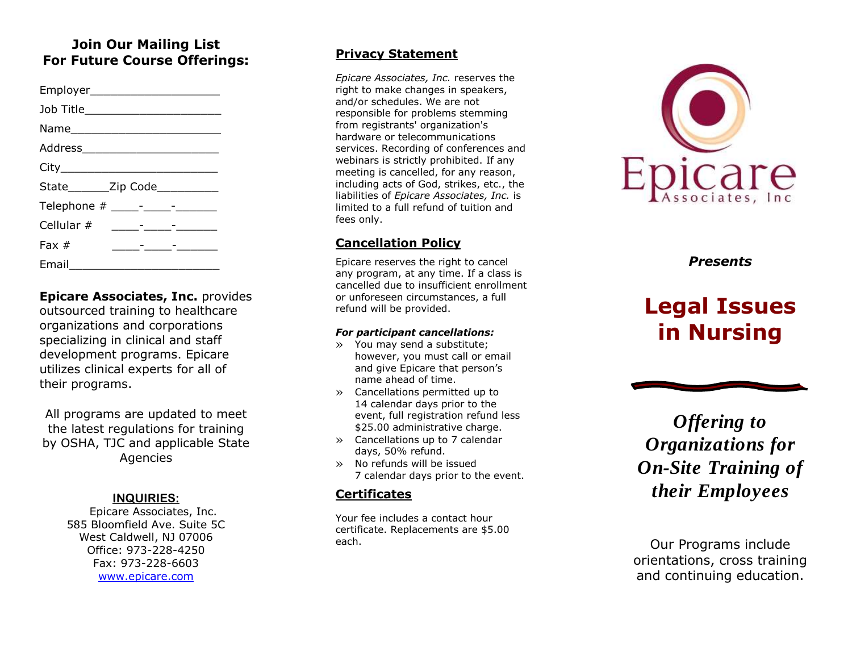### **Join Our Mailing List For Future Course Offerings:**

| Employer_________________________  |                                                                                                                        |  |
|------------------------------------|------------------------------------------------------------------------------------------------------------------------|--|
| Job Title_________________________ |                                                                                                                        |  |
|                                    |                                                                                                                        |  |
|                                    |                                                                                                                        |  |
|                                    |                                                                                                                        |  |
| State________Zip Code___________   |                                                                                                                        |  |
|                                    |                                                                                                                        |  |
|                                    |                                                                                                                        |  |
| Fax $#$                            | <u> 1989 - Andre Stadt Stadt Stadt Stadt Stadt Stadt Stadt Stadt Stadt Stadt Stadt Stadt Stadt Stadt Stadt Stadt S</u> |  |
| Email<br>$\sim$                    |                                                                                                                        |  |

**Epicare Associates, Inc.** provides outsourced training to healthcare organizations and corporations specializing in clinical and staff development programs. Epicare utilizes clinical experts for all of their programs.

All programs are updated to meet the latest regulations for training by OSHA, TJC and applicable State Agencies

### **INQUIRIES :**

Epicare Associates, Inc. 585 Bloomfield Ave. Suite 5C West Caldwell, NJ 07006 Office: 973 -228 -4250 Fax: 973 -228 -6603 [www.epicare.com](http://www.epicare.com/)

### **Privacy Statement**

*Epicare Associates, Inc.* reserves the right to make changes in speakers, and/or schedules. We are not responsible for problems stemming from registrants' organization's hardware or telecommunications services. Recording of conferences and webinars is strictly prohibited. If any meeting is cancelled, for any reason, including acts of God, strikes, etc., the liabilities of *Epicare Associates, Inc.* is limited to a full refund of tuition and fees only.

### **Cancellation Policy**

Epicare reserves the right to cancel any program, at any time. If a class is cancelled due to insufficient enrollment or unforeseen circumstances, a full refund will be provided.

#### *For participant cancellations:*

- » You may send a substitute; however, you must call or email and give Epicare that person's name ahead of time.
- » Cancellations permitted up to 14 calendar days prior to the event, full registration refund less \$25.00 administrative charge.
- » Cancellations up to 7 calendar days, 50% refund.
- » No refunds will be issued 7 calendar days prior to the event.

### **Certificates**

Your fee includes a contact hour certificate. Replacements are \$5.00 each.



*Presents*

# **Legal Issues in Nursing**

*Offering to Organizations for On -Site Training of their Employees*

Our Programs include orientation s , cross training and continuing education.